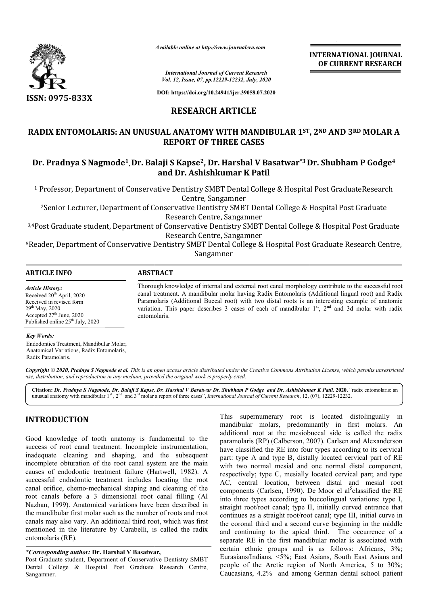

*Available online at http://www.journalcra.com*

**INTERNATIONAL JOURNAL OF CURRENT RESEARCH**

*International Journal of Current Research Vol. 12, Issue, 07, pp.12229-12232, July, 2020*

**DOI: https://doi.org/10.24941/ijcr.39058.07.2020**

### **RESEARCH ARTICLE**

### **RADIX ENTOMOLARIS: AN UNUSUAL ANATOMY WITH MANDIBULAR 1 1ST ST, 2ND AND 3RD MOLAR A REPORT OF THREE CASES**

## **Dr. Pradnya S Nagmode1, Dr. Balaji S Kapse Kapse2, Dr. Harshal V Basatwar\*3 Dr. Shubham P Godge Dr. Shubham Godge4 and Dr. Ashishkumar K Patil**

<sup>1</sup> Professor, Department of Conservative Dentistry SMBT Dental College & Hospital Post GraduateResearch Centre, Sangamner

<sup>2</sup>Senior Lecturer, Department of Conservative Dentistry SMBT Dental College & Hospital Post Graduate Research Centre, Sangamner

3,4Post Graduate student, Department of Conservative Dentistry SMBT Dental College & Hospital Post Graduate Post Research Centre, Sangamner Professor, Department of Conservative Dentistry SMBT Dental College & Hospital Post GraduateResearc<br>Centre, Sangamner<br>Pental College & Hospital Post Graduate<br>Research Centre, Sangamner<br>ost Graduate student, Department of C

<sup>5</sup>Reader, Department of Conservative Dentistry SMBT Dental College & Hospital Post Graduate Research Centre, Sangamner

| <b>INFO</b><br>ART | $\sqrt{2}$ |  |  |
|--------------------|------------|--|--|
|                    |            |  |  |

*Article History:* Received 20<sup>th</sup> April, 2020 Received in revised form 29th May, 2020 Accepted 27<sup>th</sup> June, 2020 Published online  $25<sup>th</sup>$  July, 2020 Thorough knowledge of internal and external root canal morphology contribute to the successful root canal treatment. A mandibular molar having Radix Entomolaris (Additional lingual root) and Radix Paramolaris (Additional Buccal root) with two distal roots is an interesting example of anatomic variation. This paper describes 3 cases of each of mandibular  $1<sup>st</sup>$ ,  $2<sup>nd</sup>$  and 3d molar with radix entomolaris. Thorough knowledge of internal and external root canal morphology contribute to the successful root canal treatment. A mandibular molar having Radix Entomolaris (Additional lingual root) and Radix Paramolaris (Additional B

#### *Key Words:*

Endodontics Treatment, Mandibular Molar, Anatomical Variations, Radix Entomolaris, Radix Paramolaris.

Copyright © 2020, Pradnya S Nagmode et al. This is an open access article distributed under the Creative Commons Attribution License, which permits unrestrictea *use, distribution, and reproduction in any medium, provided the original work is properly cited.*

**Citation:** *Dr. Pradnya S Nagmode, Dr. Balaji S Kapse, Dr. Harshal V Basatwar Dr. Shubham P Godge and Dr. Ashishkumar K Patil Dr. K* **. 2020.** "radix entomolaris: an unusual anatomy with mandibular 1<sup>st</sup>, 2<sup>nd</sup> and 3<sup>rd</sup> molar a report of three cases", *International Journal of Current Research*, 12, (07), 12229-12232.

## **INTRODUCTION**

Good knowledge of tooth anatomy is fundamental to the success of root canal treatment. Incomplete instrumentation, inadequate cleaning and shaping, and the subsequent incomplete obturation of the root canal system are the main causes of endodontic treatment failure (Hartwell, 1982). A successful endodontic treatment includes locating the root canal orifice, chemo-mechanical shaping and cleaning of the root canals before a 3 dimensional root canal filling (Al Nazhan, 1999). Anatomical variations have been described in the mandibular first molar such as the number of roots and root canals may also vary. An additional third root, which was first mentioned in the literature by Carabelli, is called the radix entomolaris (RE). treatment failure (Hartwell, 1982). A<br>c treatment includes locating the root<br>mechanical shaping and cleaning of the<br>i 3 dimensional root canal filling (Al<br>omical variations have been described in

#### *\*Corresponding author:* **Dr. Harshal V Basatwar Basatwar,**

Post Graduate student, Department of Conservative Dentistry SMBT Dental College & Hospital Post Graduate Research Centre, Sangamner.

This supernumerary root is located distolingually in mandibular molars, predominantly in first molars. An additional root at the mesiobuccal side is called the radix paramolaris (RP) (Calberson, 2007). Carlsen and Alexanderson have classified the RE into four types according to its cervical part: type A and type B, distally located cervical part of RE with two normal mesial and one normal distal component, respectively; type C, mesially located cervical part; and type AC, central location, between distal and mesial root components (Carlsen, 1990). De Moor el al<sup>3</sup>classified the RE into three types according to buccolingual variations: type I, straight root/root canal; type II, initially curved entrance that continues as a straight root/root canal; type III, initial curve in the coronal third and a second curve beginning in the middle straight root/root canal; type II, initially curved entrance that<br>continues as a straight root/root canal; type III, initial curve in<br>the coronal third and a second curve beginning in the middle<br>and continuing to the apica separate RE in the first mandibular molar is associated with certain ethnic groups and is as follows: Africans, 3%; Eurasians/Indians, <5%; East Asians, South East Asians and people of the Arctic region of North America, 5 to 30% Caucasians, 4.2% and among German dental school patient This supernumerary root is located distolingually mandibular molars, predominantly in first molars.<br>additional root at the mesiobuccal side is called the r-<br>paramolaris (RP) (Calberson, 2007). Carlsen and Alexande-<br>have c mic groups and is as follows: Africans, 3%;<br>ndians, <5%; East Asians, South East Asians and<br>the Arctic region of North America, 5 to 30%; INTERNATIONAL JOURNAL<br> **OF CURRENT RESEARCH**<br> **OF CURRENT RESEARCH**<br> **OF CURRENT RESEARCH**<br> **An<sup>4-3</sup> Dr. Shubham P Godge<sup>4</sup><br>
aspiral Post Graduate Research<br>
ge & Hospital Post Graduate<br>
College & Hospital Post Graduate<br>
2.**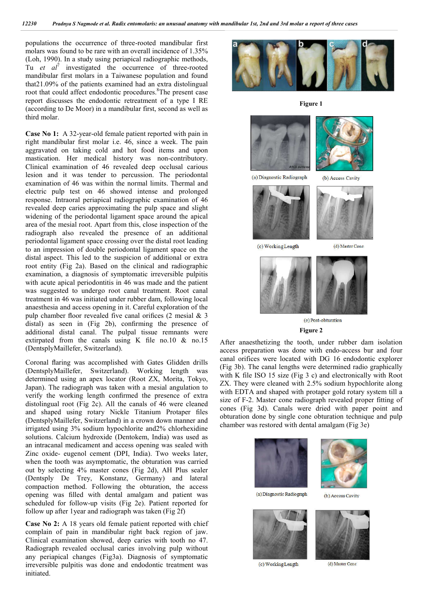populations the occurrence of three-rooted mandibular first molars was found to be rare with an overall incidence of 1.35% (Loh, 1990). In a study using periapical radiographic methods, Tu *et al*<sup>7</sup> investigated the occurrence of three-rooted mandibular first molars in a Taiwanese population and found that21.09% of the patients examined had an extra distolingual root that could affect endodontic procedures.<sup>8</sup>The present case report discusses the endodontic retreatment of a type I RE (according to De Moor) in a mandibular first, second as well as third molar.

**Case No 1:** A 32-year-old female patient reported with pain in right mandibular first molar i.e. 46, since a week. The pain aggravated on taking cold and hot food items and upon mastication. Her medical history was non-contributory. Clinical examination of 46 revealed deep occlusal carious lesion and it was tender to percussion. The periodontal examination of 46 was within the normal limits. Thermal and electric pulp test on 46 showed intense and prolonged response. Intraoral periapical radiographic examination of 46 revealed deep caries approximating the pulp space and slight widening of the periodontal ligament space around the apical area of the mesial root. Apart from this, close inspection of the radiograph also revealed the presence of an additional periodontal ligament space crossing over the distal root leading to an impression of double periodontal ligament space on the distal aspect. This led to the suspicion of additional or extra root entity (Fig 2a). Based on the clinical and radiographic examination, a diagnosis of symptomatic irreversible pulpitis with acute apical periodontitis in 46 was made and the patient was suggested to undergo root canal treatment. Root canal treatment in 46 was initiated under rubber dam, following local anaesthesia and access opening in it. Careful exploration of the pulp chamber floor revealed five canal orifices (2 mesial & 3 distal) as seen in (Fig 2b), confirming the presence of additional distal canal. The pulpal tissue remnants were extirpated from the canals using K file no.10 & no.15 (DentsplyMaillefer, Switzerland).

Coronal flaring was accomplished with Gates Glidden drills (DentsplyMaillefer, Switzerland). Working length was determined using an apex locator (Root ZX, Morita, Tokyo, Japan). The radiograph was taken with a mesial angulation to verify the working length confirmed the presence of extra distolingual root (Fig 2c). All the canals of 46 were cleaned and shaped using rotary Nickle Titanium Protaper files (DentsplyMaillefer, Switzerland) in a crown down manner and irrigated using 3% sodium hypochlorite and2% chlorhexidine solutions. Calcium hydroxide (Dentokem, India) was used as an intracanal medicament and access opening was sealed with Zinc oxide- eugenol cement (DPI, India). Two weeks later, when the tooth was asymptomatic, the obturation was carried out by selecting 4% master cones (Fig 2d), AH Plus sealer (Dentsply De Trey, Konstanz, Germany) and lateral compaction method. Following the obturation, the access opening was filled with dental amalgam and patient was scheduled for follow-up visits (Fig 2e). Patient reported for follow up after 1year and radiograph was taken (Fig 2f)

**Case No 2:** A 18 years old female patient reported with chief complain of pain in mandibular right back region of jaw. Clinical examination showed, deep caries with tooth no 47. Radiograph revealed occlusal caries involving pulp without any periapical changes (Fig3a). Diagnosis of symptomatic irreversible pulpitis was done and endodontic treatment was initiated.



**Figure 1**







(c) Working Length



(b) Access Cavity



(d) Master Cone



(e) Post-obturation

**Figure 2**

After anaesthetizing the tooth, under rubber dam isolation access preparation was done with endo-access bur and four canal orifices were located with DG 16 endodontic explorer (Fig 3b). The canal lengths were determined radio graphically with K file ISO 15 size (Fig 3 c) and electronically with Root ZX. They were cleaned with 2.5% sodium hypochlorite along with EDTA and shaped with protaper gold rotary system till a size of F-2. Master cone radiograph revealed proper fitting of cones (Fig 3d). Canals were dried with paper point and obturation done by single cone obturation technique and pulp chamber was restored with dental amalgam (Fig 3e)



(c) Working Length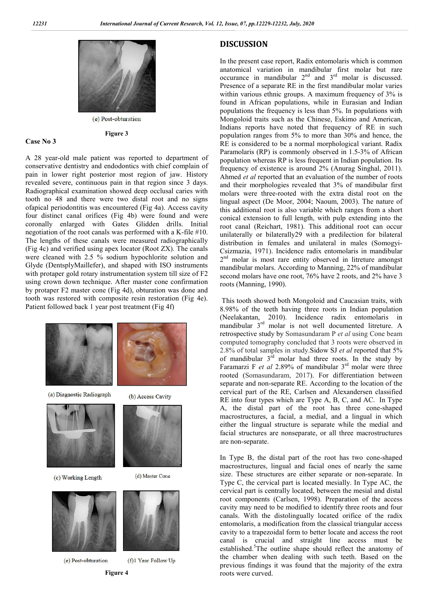

(e) Post-obturation **Figure 3**

#### **Case No 3**

A 28 year-old male patient was reported to department of conservative dentistry and endodontics with chief complain of pain in lower right posterior most region of jaw. History revealed severe, continuous pain in that region since 3 days. Radiographical examination showed deep occlusal caries with tooth no 48 and there were two distal root and no signs ofapical periodontitis was encountered (Fig 4a). Access cavity four distinct canal orifices (Fig 4b) were found and were coronally enlarged with Gates Glidden drills. Initial negotiation of the root canals was performed with a K-file #10. The lengths of these canals were measured radiographically (Fig 4c) and verified using apex locator (Root ZX). The canals were cleaned with 2.5 % sodium hypochlorite solution and Glyde (DentsplyMaillefer), and shaped with ISO instruments with protaper gold rotary instrumentation system till size of F2 using crown down technique. After master cone confirmation by protaper F2 master cone (Fig 4d), obturation was done and tooth was restored with composite resin restoration (Fig 4e). Patient followed back 1 year post treatment (Fig 4f)



# **Figure 4**

### **DISCUSSION**

In the present case report, Radix entomolaris which is common anatomical variation in mandibular first molar but rare occurance in mandibular  $2^{nd}$  and  $3^{rd}$  molar is discussed. Presence of a separate RE in the first mandibular molar varies within various ethnic groups. A maximum frequency of 3% is found in African populations, while in Eurasian and Indian populations the frequency is less than 5%. In populations with Mongoloid traits such as the Chinese, Eskimo and American, Indians reports have noted that frequency of RE in such population ranges from 5% to more than 30% and hence, the RE is considered to be a normal morphological variant. Radix Paramolaris (RP) is commonly observed in 1.5-3% of African population whereas RP is less frequent in Indian population. Its frequency of existence is around 2% (Anurag Singhal, 2011). Ahmed *et al* reported that an evaluation of the number of roots and their morphologies revealed that 3% of mandibular first molars were three-rooted with the extra distal root on the lingual aspect (De Moor, 2004; Naoum, 2003). The nature of this additional root is also variable which ranges from a short conical extension to full length, with pulp extending into the root canal (Reichart, 1981). This additional root can occur unilaterally or bilaterally29 with a predilection for bilateral distribution in females and unilateral in males (Somogyi-Csizmazia, 1971). Incidence radix entomolaris in mandibular  $2<sup>nd</sup>$  molar is most rare entity observed in litreture amongst mandibular molars. According to Manning, 22% of mandibular second molars have one root, 76% have 2 roots, and 2% have 3 roots (Manning, 1990).

This tooth showed both Mongoloid and Caucasian traits, with 8.98% of the teeth having three roots in Indian population (Neelakantan, 2010). Incidence radix entomolaris in mandibular 3rd molar is not well documented litreture. A retrospective study by Somasundaram P *et al* using Cone beam computed tomography concluded that 3 roots were observed in 2.8% of total samples in study.Sidow SJ *et al* reported that 5% of mandibular  $3<sup>rd</sup>$  molar had three roots. In the study by Faramarzi F *et al* 2.89% of mandibular 3rd molar were three rooted (Somasundaram, 2017). For differentiation between separate and non-separate RE. According to the location of the cervical part of the RE, Carlsen and Alexandersen classified RE into four types which are Type A, B, C, and AC. In Type A, the distal part of the root has three cone-shaped macrostructures, a facial, a medial, and a lingual in which either the lingual structure is separate while the medial and facial structures are nonseparate, or all three macrostructures are non-separate.

In Type B, the distal part of the root has two cone-shaped macrostructures, lingual and facial ones of nearly the same size. These structures are either separate or non-separate. In Type C, the cervical part is located mesially. In Type AC, the cervical part is centrally located, between the mesial and distal root components (Carlsen, 1998). Preparation of the access cavity may need to be modified to identify three roots and four canals. With the distolingually located orifice of the radix entomolaris, a modification from the classical triangular access cavity to a trapezoidal form to better locate and access the root canal is crucial and straight line access must be established.<sup>5</sup>The outline shape should reflect the anatomy of the chamber when dealing with such teeth. Based on the previous findings it was found that the majority of the extra roots were curved.